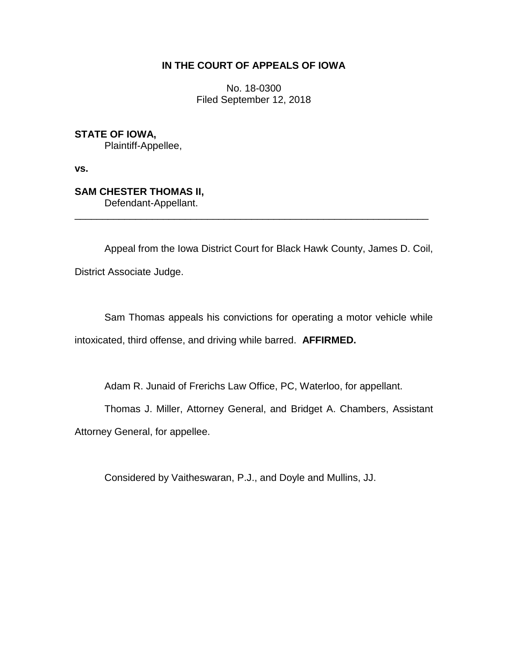## **IN THE COURT OF APPEALS OF IOWA**

No. 18-0300 Filed September 12, 2018

**STATE OF IOWA,** Plaintiff-Appellee,

**vs.**

**SAM CHESTER THOMAS II,** Defendant-Appellant.

Appeal from the Iowa District Court for Black Hawk County, James D. Coil, District Associate Judge.

\_\_\_\_\_\_\_\_\_\_\_\_\_\_\_\_\_\_\_\_\_\_\_\_\_\_\_\_\_\_\_\_\_\_\_\_\_\_\_\_\_\_\_\_\_\_\_\_\_\_\_\_\_\_\_\_\_\_\_\_\_\_\_\_

Sam Thomas appeals his convictions for operating a motor vehicle while intoxicated, third offense, and driving while barred. **AFFIRMED.**

Adam R. Junaid of Frerichs Law Office, PC, Waterloo, for appellant.

Thomas J. Miller, Attorney General, and Bridget A. Chambers, Assistant

Attorney General, for appellee.

Considered by Vaitheswaran, P.J., and Doyle and Mullins, JJ.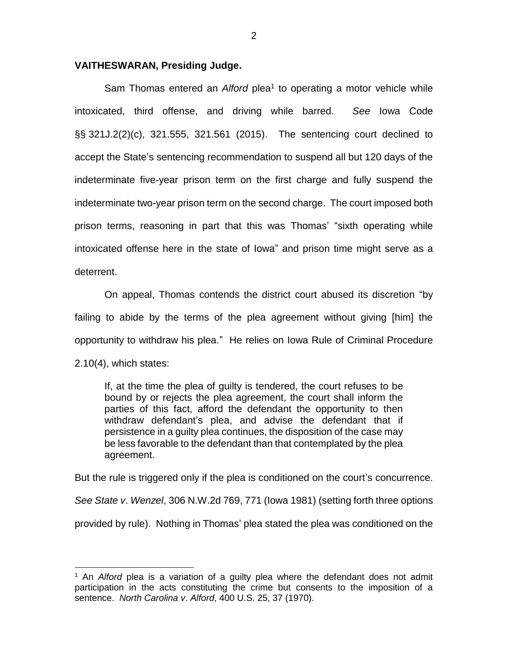## **VAITHESWARAN, Presiding Judge.**

Sam Thomas entered an *Alford* plea<sup>1</sup> to operating a motor vehicle while intoxicated, third offense, and driving while barred. *See* Iowa Code §§ 321J.2(2)(c), 321.555, 321.561 (2015). The sentencing court declined to accept the State's sentencing recommendation to suspend all but 120 days of the indeterminate five-year prison term on the first charge and fully suspend the indeterminate two-year prison term on the second charge. The court imposed both prison terms, reasoning in part that this was Thomas' "sixth operating while intoxicated offense here in the state of Iowa" and prison time might serve as a deterrent.

On appeal, Thomas contends the district court abused its discretion "by failing to abide by the terms of the plea agreement without giving [him] the opportunity to withdraw his plea." He relies on Iowa Rule of Criminal Procedure 2.10(4), which states:

If, at the time the plea of guilty is tendered, the court refuses to be bound by or rejects the plea agreement, the court shall inform the parties of this fact, afford the defendant the opportunity to then withdraw defendant's plea, and advise the defendant that if persistence in a guilty plea continues, the disposition of the case may be less favorable to the defendant than that contemplated by the plea agreement.

But the rule is triggered only if the plea is conditioned on the court's concurrence.

*See State v*. *Wenzel*, 306 N.W.2d 769, 771 (Iowa 1981) (setting forth three options

provided by rule). Nothing in Thomas' plea stated the plea was conditioned on the

 $\overline{a}$ 

<sup>1</sup> An *Alford* plea is a variation of a guilty plea where the defendant does not admit participation in the acts constituting the crime but consents to the imposition of a sentence. *North Carolina v*. *Alford*, 400 U.S. 25, 37 (1970).